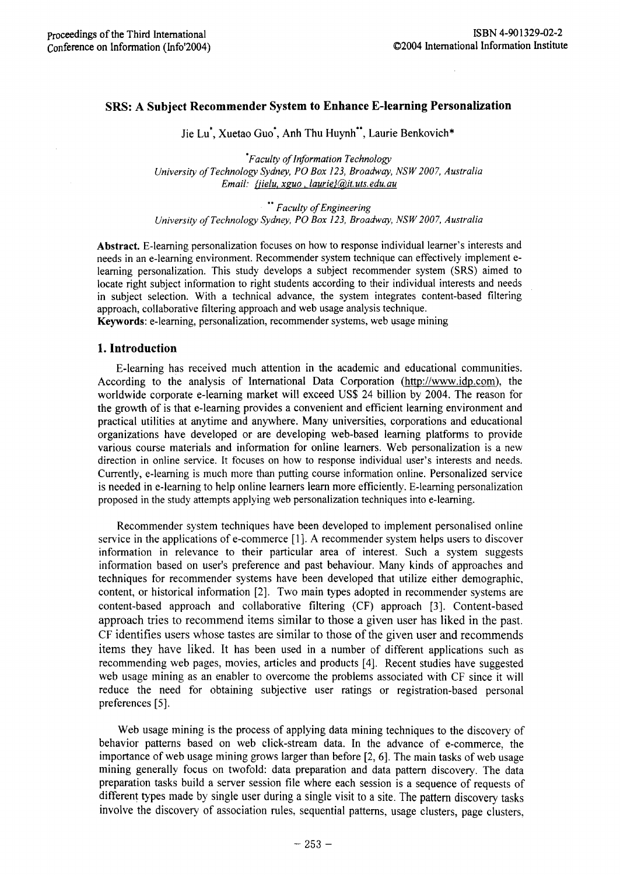# SRS: A **Subject Recommender** System **to Enhance E-Iearning Personalization**

lie Lu', Xuetao Guo', Anh Thu Huynh", Laurie Benkovich\*

*•Faculty of Information Technology University of Technology Sydney, PO Box 123, Broadway, NSW 2007, Australia Email: {jielu.xguo.laurie}(@.it.uts.edu.au*

*•• Faculty of Engineering University of Technology Sydney, PO Box 123, Broadway, NSW 2007, Australia*

Abstract. E-Iearning personalization focuses on how to response individual learner's interests and needs in an e-Iearning environment. Recommender system technique can effectively implement elearning personalization. This study develops a subject recommender system (SRS) aimed to locate right subject information to right students according to their individual interests and needs in subject selection. With a technical advance, the system integrates content-based filtering approach, collaborative filtering approach and web usage analysis technique. Keywords: e-Iearning, personalization, recommender systems, web usage mining

#### **1. Introduction**

E-Iearning has received much attention in the academic and educational communities. According to the analysis of International Data Corporation (http://www.idp.com). the worldwide corporate e-Iearning market will exceed US\$ 24 billion by 2004. The reason for the growth of is that e-Iearning provides a convenient and efficient learning environment and practical utilities at anytime and anywhere. Many universities, corporations and educational organizations have developed or are developing web-based learning platforms to provide various course materials and information for online learners. Web personalization is a new direction in online service. It focuses on how to response individual user's interests and needs. Currently, e-Iearning is much more than putting course information online. Personalized service is needed in e-learning to help online learners learn more efficiently. E-Iearning personalization proposed in the study attempts applying web personalization techniques into e-Iearning.

Recommender system techniques have been developed to implement personalised online service in the applications of e-commerce [I]. A recommender system helps users to discover information in relevance to their particular area of interest. Such a system suggests information based on user's preference and past behaviour. Many kinds of approaches and techniques for recommender systems have been developed that utilize either demographic, content, or historical information [2]. Two main types adopted in recommender systems are content-based approach and collaborative filtering (CF) approach [3]. Content-based approach tries to recommend items similar to those a given user has liked in the past. CF identifies users whose tastes are similar to those of the given user and recommends items they have liked. It has been used in a number of different applications such as recommending web pages, movies, articles and products [4]. Recent studies have suggested web usage mining as an enabler to overcome the problems associated with CF since it will reduce the need for obtaining subjective user ratings or registration-based personal preferences [5].

Web usage mining is the process of applying data mining techniques to the discovery of behavior patterns based on web click-stream data. In the advance of e-commerce, the importance of web usage mining grows larger than before [2, 6]. The main tasks of web usage mining generally focus on twofold: data preparation and data pattern discovery. The data preparation tasks build a server session file where each session is a sequence of requests of different types made by single user during a single visit to a site. The pattern discovery tasks involve the discovery of association rules, sequential patterns, usage clusters, page clusters,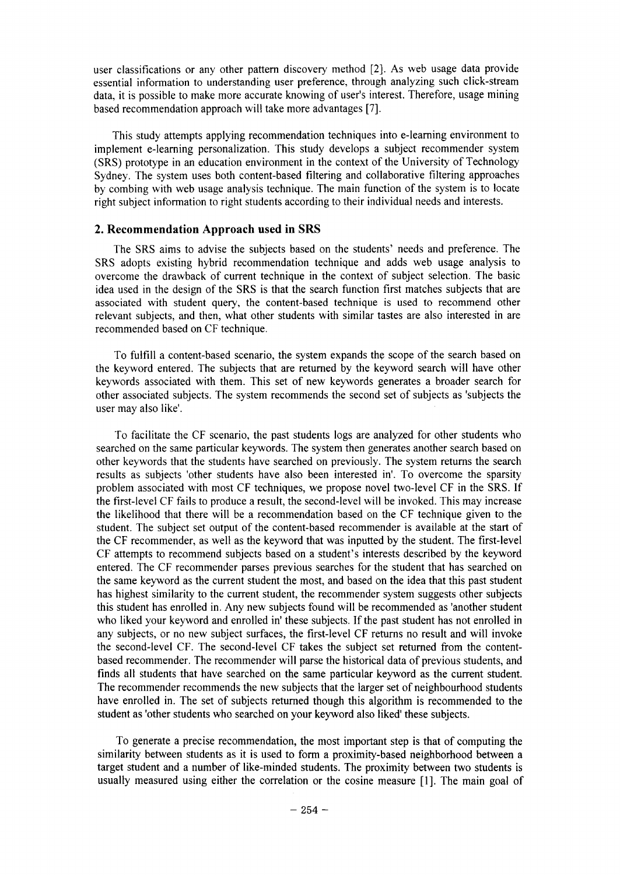user classifications or any other pattern discovery method [2]. As web usage data provide essential information to understanding user preference, through analyzing such click-stream data, it is possible to make more accurate knowing of user's interest. Therefore, usage mining based recommendation approach will take more advantages [7].

This study attempts applying recommendation techniques into e-Iearning environment to implement e-Iearning personalization. This study develops a subject recommender system (SRS) prototype in an education environment in the context of the University of Technology Sydney. The system uses both content-based filtering and collaborative filtering approaches by combing with web usage analysis technique. The main function of the system is to locate right subject information to right students according to their individual needs and interests.

### **2. Recommendation Approach used in SRS**

The SRS aims to advise the subjects based on the students' needs and preference. The SRS adopts existing hybrid recommendation technique and adds web usage analysis to overcome the drawback of current technique in the context of subject selection. The basic idea used in the design of the SRS is that the search function first matches subjects that are associated with student query, the content-based technique is used to recommend other relevant subjects, and then, what other students with similar tastes are also interested in are recommended based on CF technique.

To fulfill a content-based scenario, the system expands the scope of the search based on the keyword entered. The subjects that are returned by the keyword search will have other keywords associated with them. This set of new keywords generates a broader search for other associated subjects. The system recommends the second set of subjects as 'subjects the user may also like'.

To facilitate the CF scenario, the past students logs are analyzed for other students who searched on the same particular keywords. The system then generates another search based on other keywords that the students have searched on previously. The system returns the search results as subjects 'other students have also been interested in'. To overcome the sparsity problem associated with most CF techniques, we propose novel two-level CF in the SRS. If the first-level CF fails to produce a result, the second-level will be invoked. This may increase the likelihood that there will be a recommendation based on the CF technique given to the student. The subject set output of the content-based recommender is available at the start of the CF recommender, as well as the keyword that was inputted by the student. The first-level CF attempts to recommend subjects based on a student's interests described by the keyword entered. The CF recommender parses previous searches for the student that has searched on the same keyword as the current student the most, and based on the idea that this past student has highest similarity to the current student, the recommender system suggests other subjects this student has enrolled in. Any new subjects found will be recommended as 'another student who liked your keyword and enrolled in' these subjects. If the past student has not enrolled in any subjects, or no new subject surfaces, the first-level CF returns no result and will invoke the second-level CF. The second-level CF takes the subject set returned from the contentbased recommender. The recommender will parse the historical data of previous students, and finds all students that have searched on the same particular keyword as the current student. The recommender recommends the new subjects that the larger set of neighbourhood students have enrolled in. The set of subjects returned though this algorithm is recommended to the student as 'other students who searched on your keyword also liked' these subjects.

To generate a precise recommendation, the most important step is that of computing the similarity between students as it is used to form a proximity-based neighborhood between a target student and a number of like-minded students. The proximity between two students is usually measured using either the correlation or the cosine measure [I]. The main goal of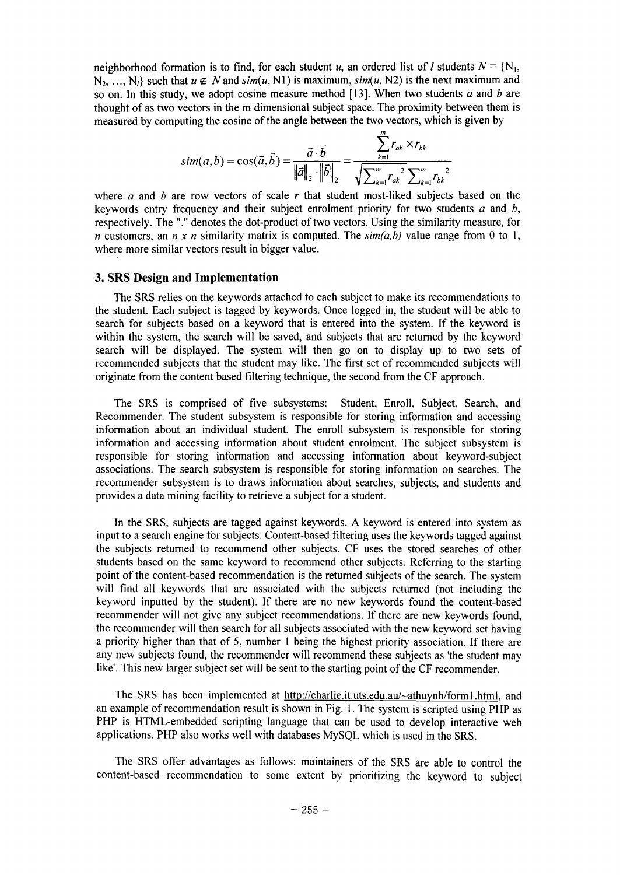neighborhood formation is to find, for each student *u*, an ordered list of *I* students  $N = \{N_1,$  $N_2, \ldots, N_i$  such that  $u \notin N$  and  $\text{sim}(u, N1)$  is maximum,  $\text{sim}(u, N2)$  is the next maximum and so on. In this study, we adopt cosine measure method [13]. When two students *a* and *b* are thought of as two vectors in the m dimensional subject space. The proximity between them is measured by computing the cosine of the angle between the two vectors, which is given by

$$
sim(a,b) = cos(\vec{a}, \vec{b}) = \frac{\vec{a} \cdot \vec{b}}{\|\vec{a}\|_2 \cdot \|\vec{b}\|_2} = \frac{\sum_{k=1}^{m} r_{ak} \times r_{bk}}{\sqrt{\sum_{k=1}^{m} r_{ak}^2 \sum_{k=1}^{m} r_{bk}^2}}
$$

where *a* and *b* are row vectors of scale *r* that student most-liked subjects based on the keywords entry frequency and their subject enrolment priority for two students *a* and *b,* respectively. The "." denotes the dot-product of two vectors. Using the similarity measure, for *n* customers, an *n x n* similarity matrix is computed. The  $\sin(a, b)$  value range from 0 to 1, where more similar vectors result in bigger value.

#### 3. SRS Design and Implementation

The SRS relies on the keywords attached to each subject to make its recommendations to the student. Each subject is tagged by keywords. Once logged in, the student will be able to search for subjects based on a keyword that is entered into the system. If the keyword is within the system, the search will be saved, and subjects that are returned by the keyword search will be displayed. The system will then go on to display up to two sets of recommended subjects that the student may like. The first set of recommended subjects will originate from the content based filtering technique, the second from the CF approach.

The SRS is comprised of five subsystems: Student, Enroll, Subject, Search, and Recommender. The student subsystem is responsible for storing information and accessing information about an individual student. The enroll subsystem is responsible for storing information and accessing information about student enrolment. The subject subsystem is responsible for storing information and accessing information about keyword-subject associations. The search subsystem is responsible for storing information on searches. The recommender subsystem is to draws information about searches, subjects, and students and provides a data mining facility to retrieve a subject for a student.

In the SRS, subjects are tagged against keywords. A keyword is entered into system as input to a search engine for subjects. Content-based filtering uses the keywords tagged against the subjects returned to recommend other subjects. CF uses the stored searches of other students based on the same keyword to recommend other subjects. Referring to the starting point of the content-based recommendation is the returned subjects of the search. The system will find all keywords that are associated with the subjects returned (not including the keyword inputted by the student). If there are no new keywords found the content-based recommender will not give any subject recommendations. If there are new keywords found, the recommender will then search for all subjects associated with the new keyword set having a priority higher than that of 5, number 1 being the highest priority association. If there are any new subjects found, the recommender will recommend these subjects as 'the student may like'. This new larger subject set will be sent to the starting point of the CF recommender.

The SRS has been implemented at http://charlie.it.uts.edu.au/~athuynh/form1.html, and an example of recommendation result is shown in Fig. I. The system is scripted using PHP as PHP is HTML-embedded scripting language that can be used to develop interactive web applications. PHP also works well with databases MySQL which is used in the SRS.

The SRS offer advantages as follows: maintainers of the SRS are able to control the content-based recommendation to some extent by prioritizing the keyword to subject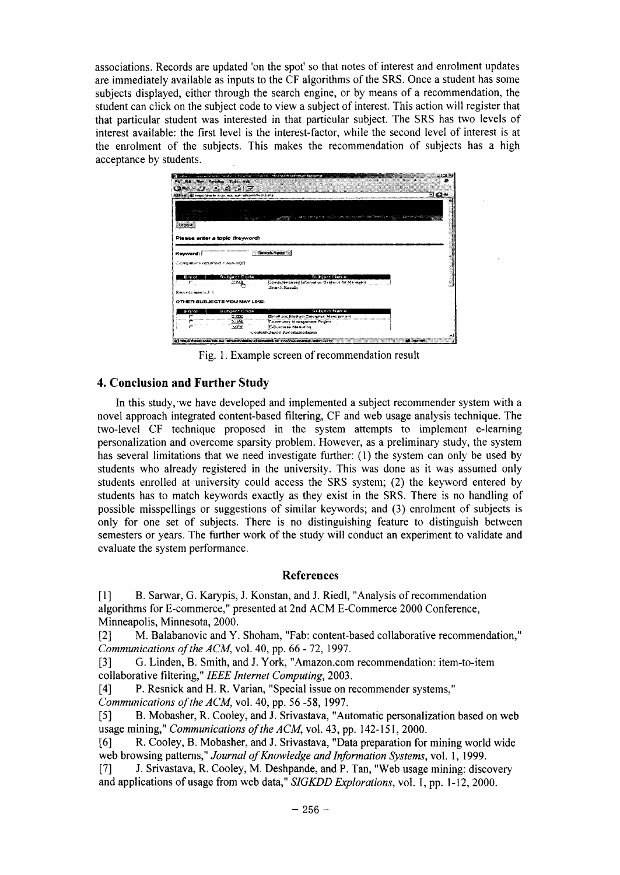associations. Records are updated 'on the spot' so that notes of interest and enrolment updates are immediately available as inputs to the CF algorithms of the SRS. Once a student has some subjects displayed, either through the search engine, or by means of a recommendation, the student can click on the subject code to view a subject of interest. This action will register that that particular student was interested in that particular subject. The SRS has two levels of interest available: the first level is the interest-factor, while the second level of interest is at the enrolment of the subjects. This makes the recommendation of subjects has a high acceptance by students.



Fig. 1. Example screen of recommendation result

# 4. Conclusion and Further Study

In this study, we have developed and implemented a subject recommender system with a novel approach integrated content-based filtering, CF and web usage analysis technique. The two-level CF technique proposed in the system attempts to implement e-learning personalization and overcome sparsity problem. However, as a preliminary study, the system has several limitations that we need investigate further: (1) the system can only be used by students who already registered in the university. This was done as it was assumed only students enrolled at university could access the SRS system; (2) the keyword entered by students has to match keywords exactly as they exist in the SRS. There is no handling of possible misspellings or suggestions of similar keywords; and (3) enrolment of subjects is only for one set of subjects. There is no distinguishing feature to distinguish between semesters or years. The further work of the study will conduct an experiment to validate and evaluate the system performance.

### **References**

 $[1]$ B. Sarwar, G. Karypis, J. Konstan, and J. Riedl, "Analysis of recommendation algorithms for E-commerce," presented at 2nd ACM E-Commerce 2000 Conference, Minneapolis, Minnesota, 2000.

 $[2]$ M. Balabanovic and Y. Shoham, "Fab: content-based collaborative recommendation," Communications of the ACM, vol. 40, pp. 66 - 72, 1997.

G. Linden, B. Smith, and J. York, "Amazon.com recommendation: item-to-item  $\lceil 3 \rceil$ collaborative filtering," IEEE Internet Computing, 2003.

P. Resnick and H. R. Varian, "Special issue on recommender systems,"  $[4]$ 

Communications of the ACM, vol. 40, pp. 56 -58, 1997.

B. Mobasher, R. Cooley, and J. Srivastava, "Automatic personalization based on web  $\lceil 5 \rceil$ usage mining," Communications of the ACM, vol. 43, pp. 142-151, 2000.

R. Cooley, B. Mobasher, and J. Srivastava, "Data preparation for mining world wide  $[6]$ web browsing patterns," Journal of Knowledge and Information Systems, vol. 1, 1999.

J. Srivastava, R. Cooley, M. Deshpande, and P. Tan, "Web usage mining: discovery  $\lceil 7 \rceil$ and applications of usage from web data," SIGKDD Explorations, vol. 1, pp. 1-12, 2000.